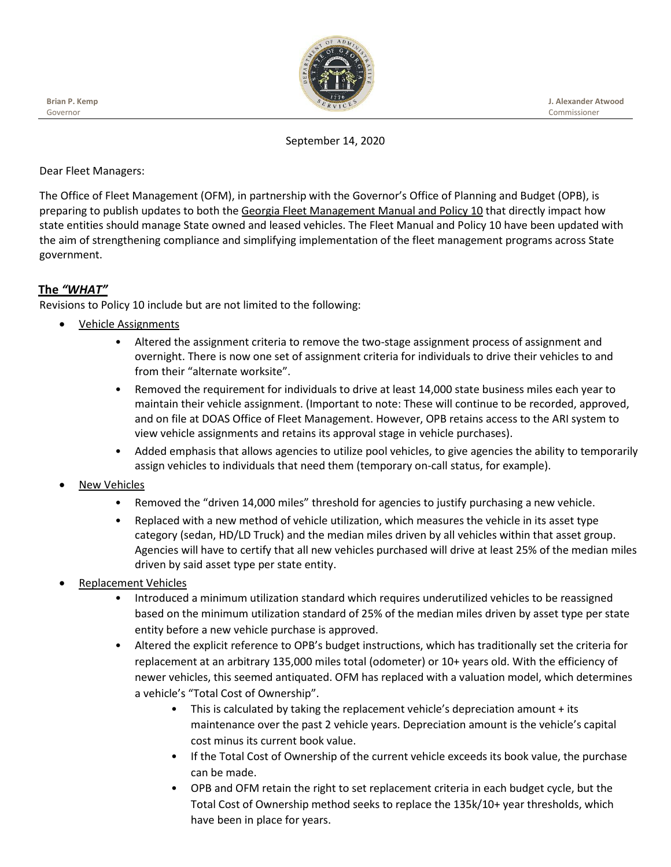

**J. Alexander Atwood** Commissioner

September 14, 2020

## Dear Fleet Managers:

The Office of Fleet Management (OFM), in partnership with the Governor's Office of Planning and Budget (OPB), is preparing to publish updates to both the Georgia Fleet Management Manual and Policy 10 that directly impact how state entities should manage State owned and leased vehicles. The Fleet Manual and Policy 10 have been updated with the aim of strengthening compliance and simplifying implementation of the fleet management programs across State government.

# **The** *"WHAT"*

Revisions to Policy 10 include but are not limited to the following:

- Vehicle Assignments
	- Altered the assignment criteria to remove the two-stage assignment process of assignment and overnight. There is now one set of assignment criteria for individuals to drive their vehicles to and from their "alternate worksite".
	- Removed the requirement for individuals to drive at least 14,000 state business miles each year to maintain their vehicle assignment. (Important to note: These will continue to be recorded, approved, and on file at DOAS Office of Fleet Management. However, OPB retains access to the ARI system to view vehicle assignments and retains its approval stage in vehicle purchases).
	- Added emphasis that allows agencies to utilize pool vehicles, to give agencies the ability to temporarily assign vehicles to individuals that need them (temporary on-call status, for example).
- New Vehicles
	- Removed the "driven 14,000 miles" threshold for agencies to justify purchasing a new vehicle.
	- Replaced with a new method of vehicle utilization, which measures the vehicle in its asset type category (sedan, HD/LD Truck) and the median miles driven by all vehicles within that asset group. Agencies will have to certify that all new vehicles purchased will drive at least 25% of the median miles driven by said asset type per state entity.
- Replacement Vehicles
	- Introduced a minimum utilization standard which requires underutilized vehicles to be reassigned based on the minimum utilization standard of 25% of the median miles driven by asset type per state entity before a new vehicle purchase is approved.
	- Altered the explicit reference to OPB's budget instructions, which has traditionally set the criteria for replacement at an arbitrary 135,000 miles total (odometer) or 10+ years old. With the efficiency of newer vehicles, this seemed antiquated. OFM has replaced with a valuation model, which determines a vehicle's "Total Cost of Ownership".
		- This is calculated by taking the replacement vehicle's depreciation amount + its maintenance over the past 2 vehicle years. Depreciation amount is the vehicle's capital cost minus its current book value.
		- If the Total Cost of Ownership of the current vehicle exceeds its book value, the purchase can be made.
		- OPB and OFM retain the right to set replacement criteria in each budget cycle, but the Total Cost of Ownership method seeks to replace the 135k/10+ year thresholds, which have been in place for years.